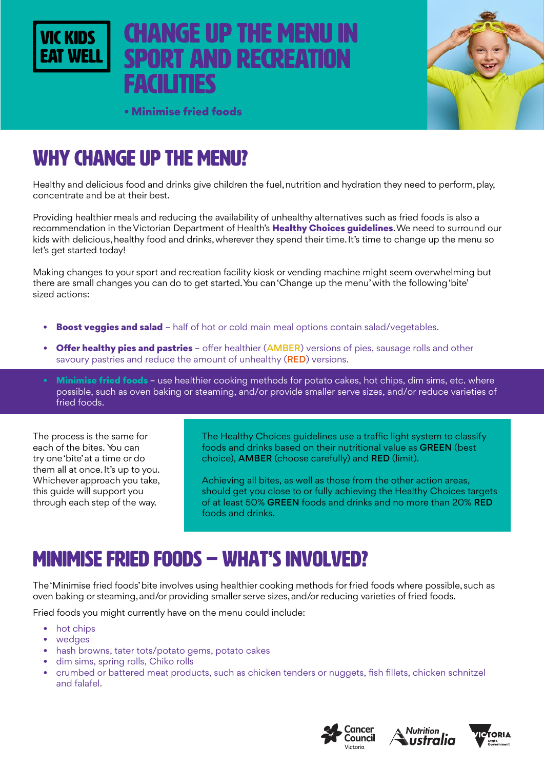

# change up the menu in **PORT AND RECREATION** facilities



• Minimise fried foods

# WHY change up the menu?

Healthy and delicious food and drinks give children the fuel, nutrition and hydration they need to perform, play, concentrate and be at their best.

Providing healthier meals and reducing the availability of unhealthy alternatives such as fried foods is also a recommendation in the Victorian Department of Health's Healthy Choices quidelines. We need to surround our kids with delicious, healthy food and drinks, wherever they spend their time. It's time to change up the menu so let's get started today!

Making changes to your sport and recreation facility kiosk or vending machine might seem overwhelming but there are small changes you can do to get started. You can 'Change up the menu' with the following 'bite' sized actions:

- **Boost veggies and salad** half of hot or cold main meal options contain salad/vegetables.
- **Offer healthy pies and pastries** offer healthier (AMBER) versions of pies, sausage rolls and other savoury pastries and reduce the amount of unhealthy (RED) versions.
- Minimise fried foods use healthier cooking methods for potato cakes, hot chips, dim sims, etc. where possible, such as oven baking or steaming, and/or provide smaller serve sizes, and/or reduce varieties of fried foods.

The process is the same for each of the bites. You can try one 'bite' at a time or do them all at once. It's up to you. Whichever approach you take, this guide will support you through each step of the way.

The Healthy Choices guidelines use a traffic light system to classify foods and drinks based on their nutritional value as GREEN (best choice), AMBER (choose carefully) and RED (limit).

Achieving all bites, as well as those from the other action areas, should get you close to or fully achieving the Healthy Choices targets of at least 50% GREEN foods and drinks and no more than 20% RED foods and drinks.

## Minimise fried foods – WHAT'S INVOLVED?

The 'Minimise fried foods' bite involves using healthier cooking methods for fried foods where possible, such as oven baking or steaming, and/or providing smaller serve sizes, and/or reducing varieties of fried foods.

Fried foods you might currently have on the menu could include:

- hot chips
- wedges
- hash browns, tater tots/potato gems, potato cakes
- dim sims, spring rolls, Chiko rolls
- crumbed or battered meat products, such as chicken tenders or nuggets, fish fillets, chicken schnitzel and falafel.





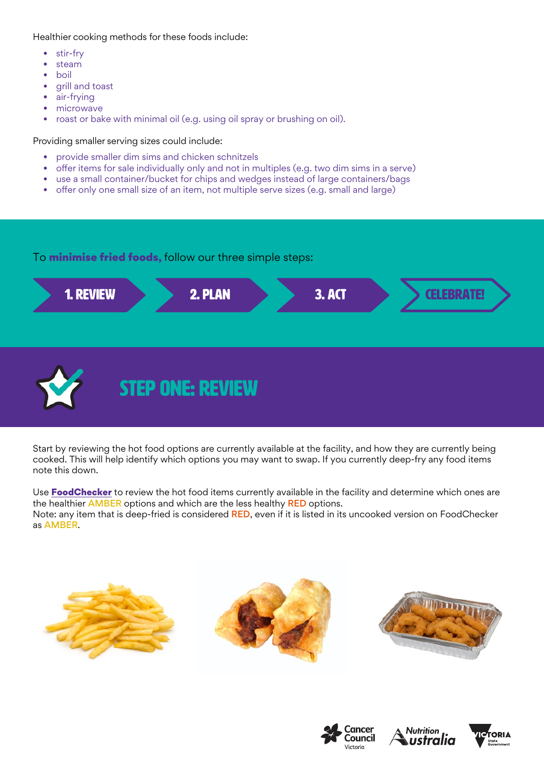Healthier cooking methods for these foods include:

- stir-fry
- steam
- boil
- grill and toast
- air-frying
- microwave
- roast or bake with minimal oil (e.g. using oil spray or brushing on oil).

Providing smaller serving sizes could include:

- provide smaller dim sims and chicken schnitzels
- offer items for sale individually only and not in multiples (e.g. two dim sims in a serve)
- use a small container/bucket for chips and wedges instead of large containers/bags
- offer only one small size of an item, not multiple serve sizes (e.g. small and large)

#### To **minimise fried foods,** follow our three simple steps:



Start by reviewing the hot food options are currently available at the facility, and how they are currently being cooked. This will help identify which options you may want to swap. If you currently deep-fry any food items note this down.

Use [FoodChecker](https://foodchecker.heas.health.vic.gov.au/) to review the hot food items currently available in the facility and determine which ones are the healthier **AMBER** options and which are the less healthy **RED** options. Note: any item that is deep-fried is considered RED, even if it is listed in its uncooked version on FoodChecker as AMBER.







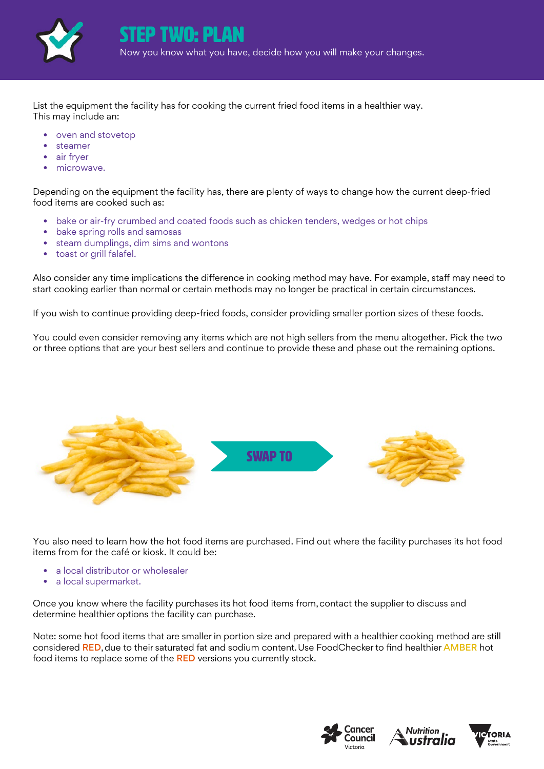

List the equipment the facility has for cooking the current fried food items in a healthier way. This may include an:

- oven and stovetop
- **steamer**
- air fryer
- microwave.

Depending on the equipment the facility has, there are plenty of ways to change how the current deep-fried food items are cooked such as:

- bake or air-fry crumbed and coated foods such as chicken tenders, wedges or hot chips
- bake spring rolls and samosas
- steam dumplings, dim sims and wontons
- toast or grill falafel.

Also consider any time implications the difference in cooking method may have. For example, staff may need to start cooking earlier than normal or certain methods may no longer be practical in certain circumstances.

If you wish to continue providing deep-fried foods, consider providing smaller portion sizes of these foods.

You could even consider removing any items which are not high sellers from the menu altogether. Pick the two or three options that are your best sellers and continue to provide these and phase out the remaining options.



You also need to learn how the hot food items are purchased. Find out where the facility purchases its hot food items from for the café or kiosk. It could be:

- a local distributor or wholesaler
- a local supermarket.

Once you know where the facility purchases its hot food items from, contact the supplier to discuss and determine healthier options the facility can purchase.

Note: some hot food items that are smaller in portion size and prepared with a healthier cooking method are still considered RED, due to their saturated fat and sodium content. Use FoodChecker to find healthier AMBER hot food items to replace some of the RED versions you currently stock.





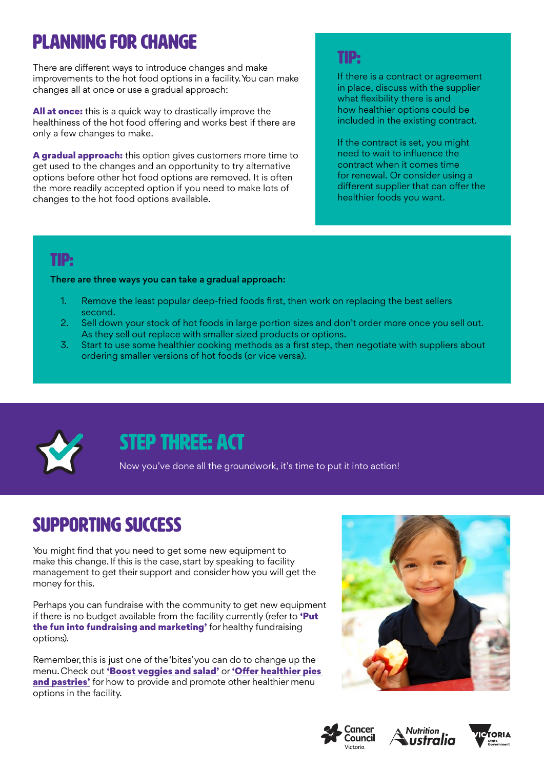# planning for change

There are different ways to introduce changes and make improvements to the hot food options in a facility. You can make changes all at once or use a gradual approach:

**All at once:** this is a quick way to drastically improve the healthiness of the hot food offering and works best if there are only a few changes to make.

A gradual approach: this option gives customers more time to get used to the changes and an opportunity to try alternative options before other hot food options are removed. It is often the more readily accepted option if you need to make lots of changes to the hot food options available.

### TIP:

If there is a contract or agreement in place, discuss with the supplier what flexibility there is and how healthier options could be included in the existing contract.

If the contract is set, you might need to wait to influence the contract when it comes time for renewal. Or consider using a different supplier that can offer the healthier foods you want.

### TIP:

#### There are three ways you can take a gradual approach:

- 1. Remove the least popular deep-fried foods first, then work on replacing the best sellers second.
- 2. Sell down your stock of hot foods in large portion sizes and don't order more once you sell out. As they sell out replace with smaller sized products or options.
- 3. Start to use some healthier cooking methods as a first step, then negotiate with suppliers about ordering smaller versions of hot foods (or vice versa).



## STEP THREE: ACT

Now you've done all the groundwork, it's time to put it into action!

## SUPPORTING SUCCESS

You might find that you need to get some new equipment to make this change. If this is the case, start by speaking to facility management to get their support and consider how you will get the money for this.

Perhaps you can fundraise with the community to get new equipment if there is no budget available from the facility currently (refer to 'Put the fun into fundraising and marketing' for healthy fundraising options).

Remember, this is just one of the 'bites' you can do to change up the menu. Check out ['Boost veggies and salad'](https://www.vickidseatwell.health.vic.gov.au/resources) or 'Offer healthier pies [and pastries'](https://www.vickidseatwell.health.vic.gov.au/resources) for how to provide and promote other healthier menu options in the facility.